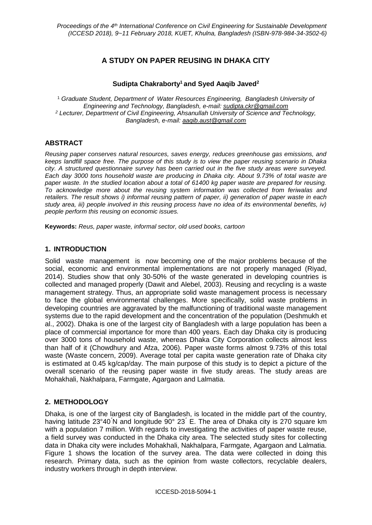# **A STUDY ON PAPER REUSING IN DHAKA CITY**

## **Sudipta Chakraborty<sup>1</sup> and Syed Aaqib Javed<sup>2</sup>**

<sup>1</sup> *Graduate Student, Department of Water Resources Engineering, Bangladesh University of Engineering and Technology, Bangladesh, e-mail: sudipta.ckr@gmail.com <sup>2</sup> Lecturer, Department of Civil Engineering, Ahsanullah University of Science and Technology, Bangladesh, e-mail: aaqib.aust@gmail.com*

## **ABSTRACT**

*Reusing paper conserves natural resources, saves energy, reduces greenhouse gas emissions, and keeps landfill space free. The purpose of this study is to view the paper reusing scenario in Dhaka city. A structured questionnaire survey has been carried out in the five study areas were surveyed. Each day 3000 tons household waste are producing in Dhaka city. About 9.73% of total waste are paper waste. In the studied location about a total of 61400 kg paper waste are prepared for reusing. To acknowledge more about the reusing system information was collected from feriwalas and retailers. The result shows i) informal reusing pattern of paper, ii) generation of paper waste in each study area, iii) people involved in this reusing process have no idea of its environmental benefits, iv) people perform this reusing on economic issues.* 

**Keywords:** *Reus, paper waste, informal sector, old used books, cartoon*

### **1. INTRODUCTION**

Solid waste management is now becoming one of the major problems because of the social, economic and environmental implementations are not properly managed (Riyad, 2014). Studies show that only 30-50% of the waste generated in developing countries is collected and managed properly (Dawit and Alebel, 2003). Reusing and recycling is a waste management strategy. Thus, an appropriate solid waste management process is necessary to face the global environmental challenges. More specifically, solid waste problems in developing countries are aggravated by the malfunctioning of traditional waste management systems due to the rapid development and the concentration of the population (Deshmukh et al., 2002). Dhaka is one of the largest city of Bangladesh with a large population has been a place of commercial importance for more than 400 years. Each day Dhaka city is producing over 3000 tons of household waste, whereas Dhaka City Corporation collects almost less than half of it (Chowdhury and Afza, 2006). Paper waste forms almost 9.73% of this total waste (Waste concern, 2009). Average total per capita waste generation rate of Dhaka city is estimated at 0.45 kg/cap/day. The main purpose of this study is to depict a picture of the overall scenario of the reusing paper waste in five study areas. The study areas are Mohakhali, Nakhalpara, Farmgate, Agargaon and Lalmatia.

### **2. METHODOLOGY**

Dhaka, is one of the largest city of Bangladesh, is located in the middle part of the country, having latitude 23°40 N and longitude 90° 23 E. The area of Dhaka city is 270 square km with a population 7 million. With regards to investigating the activities of paper waste reuse, a field survey was conducted in the Dhaka city area. The selected study sites for collecting data in Dhaka city were includes Mohakhali, Nakhalpara, Farmgate, Agargaon and Lalmatia. Figure 1 shows the location of the survey area. The data were collected in doing this research. Primary data, such as the opinion from waste collectors, recyclable dealers, industry workers through in depth interview.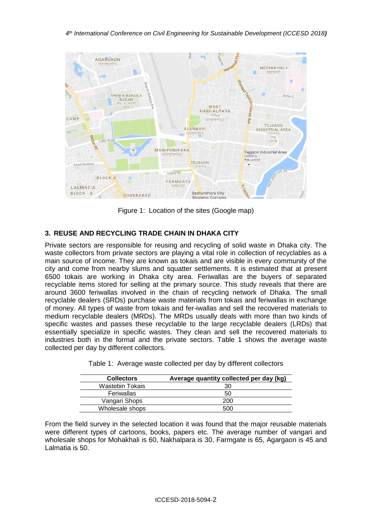

Figure 1: Location of the sites (Google map)

## **3. REUSE AND RECYCLING TRADE CHAIN IN DHAKA CITY**

Private sectors are responsible for reusing and recycling of solid waste in Dhaka city. The waste collectors from private sectors are playing a vital role in collection of recyclables as a main source of income. They are known as tokais and are visible in every community of the city and come from nearby slums and squatter settlements. It is estimated that at present 6500 tokais are working in Dhaka city area. Feriwallas are the buyers of separated recyclable items stored for selling at the primary source. This study reveals that there are around 3600 feriwallas involved in the chain of recycling network of Dhaka. The small recyclable dealers (SRDs) purchase waste materials from tokais and feriwallas in exchange of money. All types of waste from tokais and fer-iwallas and sell the recovered materials to medium recyclable dealers (MRDs). The MRDs usually deals with more than two kinds of specific wastes and passes these recyclable to the large recyclable dealers (LRDs) that essentially specialize in specific wastes. They clean and sell the recovered materials to industries both in the formal and the private sectors. Table 1 shows the average waste collected per day by different collectors.

| <b>Collectors</b>      | Average quantity collected per day (kg) |
|------------------------|-----------------------------------------|
| <b>Wastebin Tokais</b> | 30                                      |
| Feriwallas             | 50                                      |
| Vangari Shops          | 200                                     |
| Wholesale shops        | 500                                     |

Table 1: Average waste collected per day by different collectors

From the field survey in the selected location it was found that the major reusable materials were different types of cartoons, books, papers etc. The average number of vangari and wholesale shops for Mohakhali is 60, Nakhalpara is 30, Farmgate is 65, Agargaon is 45 and Lalmatia is 50.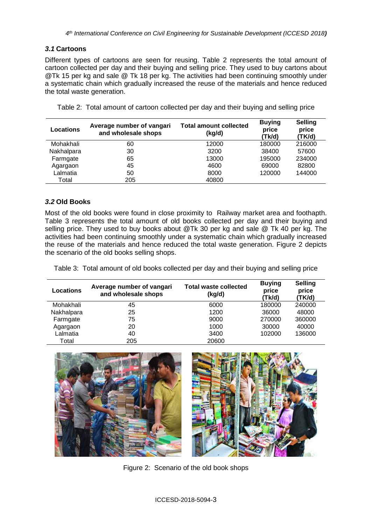### *3.1* **Cartoons**

Different types of cartoons are seen for reusing. Table 2 represents the total amount of cartoon collected per day and their buying and selling price. They used to buy cartons about @Tk 15 per kg and sale @ Tk 18 per kg. The activities had been continuing smoothly under a systematic chain which gradually increased the reuse of the materials and hence reduced the total waste generation.

Table 2: Total amount of cartoon collected per day and their buying and selling price

| Locations  | Average number of vangari<br>and wholesale shops | <b>Total amount collected</b><br>(kg/d) | <b>Buving</b><br>price<br>(Tk/d) | <b>Selling</b><br>price<br>(TK/d) |
|------------|--------------------------------------------------|-----------------------------------------|----------------------------------|-----------------------------------|
| Mohakhali  | 60                                               | 12000                                   | 180000                           | 216000                            |
| Nakhalpara | 30                                               | 3200                                    | 38400                            | 57600                             |
| Farmgate   | 65                                               | 13000                                   | 195000                           | 234000                            |
| Agargaon   | 45                                               | 4600                                    | 69000                            | 82800                             |
| Lalmatia   | 50                                               | 8000                                    | 120000                           | 144000                            |
| Total      | 205                                              | 40800                                   |                                  |                                   |

### *3.2* **Old Books**

Most of the old books were found in close proximity to Railway market area and foothapth. Table 3 represents the total amount of old books collected per day and their buying and selling price. They used to buy books about @Tk 30 per kg and sale @ Tk 40 per kg. The activities had been continuing smoothly under a systematic chain which gradually increased the reuse of the materials and hence reduced the total waste generation. Figure 2 depicts the scenario of the old books selling shops.

Table 3: Total amount of old books collected per day and their buying and selling price

| Locations  | Average number of vangari<br>and wholesale shops | <b>Total waste collected</b><br>(kg/d) | <b>Buying</b><br>price<br>(Tk/d) | <b>Selling</b><br>price<br>(TK/d) |
|------------|--------------------------------------------------|----------------------------------------|----------------------------------|-----------------------------------|
| Mohakhali  | 45                                               | 6000                                   | 180000                           | 240000                            |
| Nakhalpara | 25                                               | 1200                                   | 36000                            | 48000                             |
| Farmgate   | 75                                               | 9000                                   | 270000                           | 360000                            |
| Agargaon   | 20                                               | 1000                                   | 30000                            | 40000                             |
| Lalmatia   | 40                                               | 3400                                   | 102000                           | 136000                            |
| Total      | 205                                              | 20600                                  |                                  |                                   |



Figure 2: Scenario of the old book shops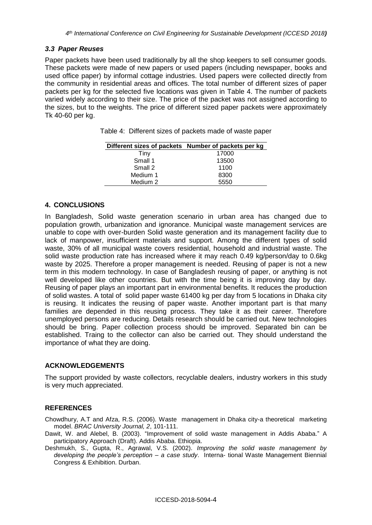#### *3.3 Paper Reuses*

Paper packets have been used traditionally by all the shop keepers to sell consumer goods. These packets were made of new papers or used papers (including newspaper, books and used office paper) by informal cottage industries. Used papers were collected directly from the community in residential areas and offices. The total number of different sizes of paper packets per kg for the selected five locations was given in Table 4. The number of packets varied widely according to their size. The price of the packet was not assigned according to the sizes, but to the weights. The price of different sized paper packets were approximately Tk 40-60 per kg.

|  | Table 4: Different sizes of packets made of waste paper |  |  |  |
|--|---------------------------------------------------------|--|--|--|
|--|---------------------------------------------------------|--|--|--|

|          | Different sizes of packets Number of packets per kg |
|----------|-----------------------------------------------------|
| Tiny     | 17000                                               |
| Small 1  | 13500                                               |
| Small 2  | 1100                                                |
| Medium 1 | 8300                                                |
| Medium 2 | 5550                                                |

#### **4. CONCLUSIONS**

In Bangladesh, Solid waste generation scenario in urban area has changed due to population growth, urbanization and ignorance. Municipal waste management services are unable to cope with over-burden Solid waste generation and its management facility due to lack of manpower, insufficient materials and support. Among the different types of solid waste, 30% of all municipal waste covers residential, household and industrial waste. The solid waste production rate has increased where it may reach 0.49 kg/person/day to 0.6kg waste by 2025. Therefore a proper management is needed. Reusing of paper is not a new term in this modern technology. In case of Bangladesh reusing of paper, or anything is not well developed like other countries. But with the time being it is improving day by day. Reusing of paper plays an important part in environmental benefits. It reduces the production of solid wastes. A total of solid paper waste 61400 kg per day from 5 locations in Dhaka city is reusing. It indicates the reusing of paper waste. Another important part is that many families are depended in this reusing process. They take it as their career. Therefore unemployed persons are reducing. Details research should be carried out. New technologies should be bring. Paper collection process should be improved. Separated bin can be established. Traing to the collector can also be carried out. They should understand the importance of what they are doing.

#### **ACKNOWLEDGEMENTS**

The support provided by waste collectors, recyclable dealers, industry workers in this study is very much appreciated.

### **REFERENCES**

Chowdhury, A.T and Afza, R.S. (2006). Waste management in Dhaka city-a theoretical marketing model. *BRAC University Journal, 2*, 101-111.

- Dawit, W. and Alebel, B. (2003). "Improvement of solid waste management in Addis Ababa." A participatory Approach (Draft). Addis Ababa. Ethiopia.
- Deshmukh, S., Gupta, R., Agrawal, V.S. (2002). *Improving the solid waste management by developing the people's perception – a case study*. Interna- tional Waste Management Biennial Congress & Exhibition. Durban.